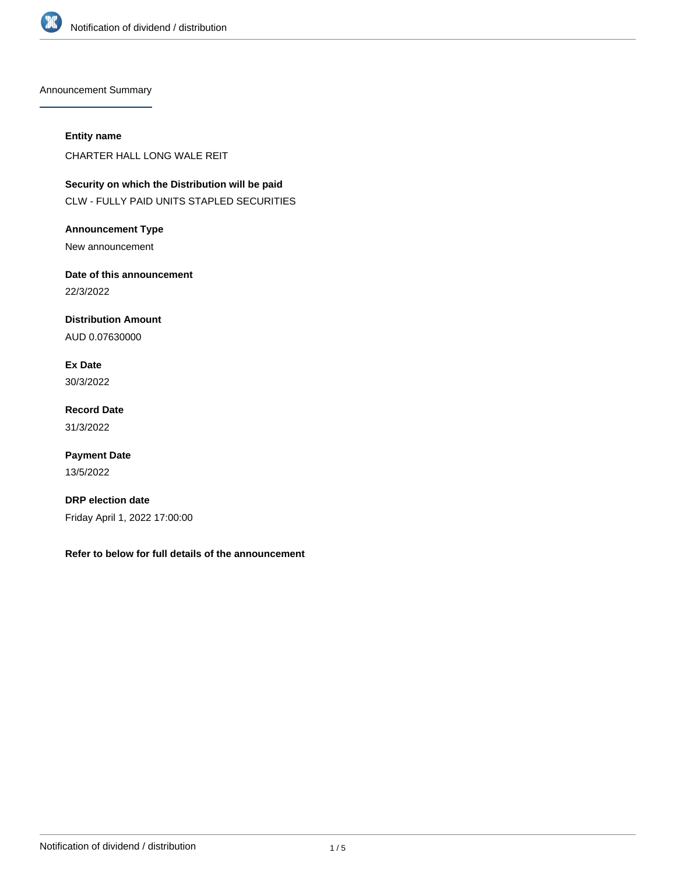

Announcement Summary

## **Entity name**

CHARTER HALL LONG WALE REIT

**Security on which the Distribution will be paid** CLW - FULLY PAID UNITS STAPLED SECURITIES

**Announcement Type** New announcement

**Date of this announcement** 22/3/2022

**Distribution Amount** AUD 0.07630000

**Ex Date** 30/3/2022

**Record Date** 31/3/2022

**Payment Date** 13/5/2022

**DRP election date** Friday April 1, 2022 17:00:00

**Refer to below for full details of the announcement**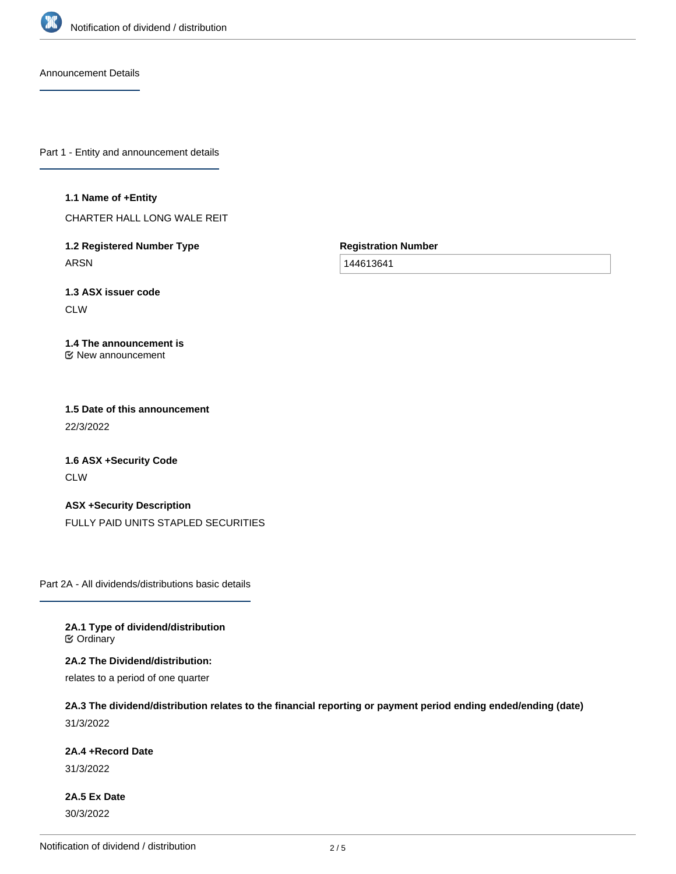

Announcement Details

Part 1 - Entity and announcement details

#### **1.1 Name of +Entity**

CHARTER HALL LONG WALE REIT

**1.2 Registered Number Type** ARSN

**Registration Number**

144613641

**1.3 ASX issuer code CLW** 

#### **1.4 The announcement is** New announcement

**1.5 Date of this announcement** 22/3/2022

**1.6 ASX +Security Code** CLW

**ASX +Security Description** FULLY PAID UNITS STAPLED SECURITIES

Part 2A - All dividends/distributions basic details

**2A.1 Type of dividend/distribution C** Ordinary

**2A.2 The Dividend/distribution:**

relates to a period of one quarter

# **2A.3 The dividend/distribution relates to the financial reporting or payment period ending ended/ending (date)** 31/3/2022

**2A.4 +Record Date**

31/3/2022

**2A.5 Ex Date** 30/3/2022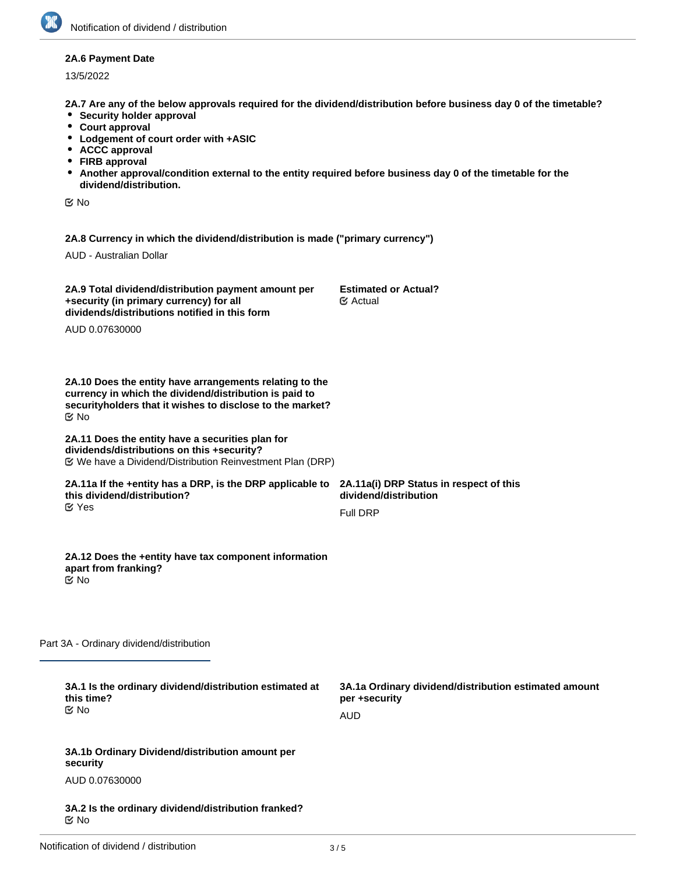## **2A.6 Payment Date**

13/5/2022

**2A.7 Are any of the below approvals required for the dividend/distribution before business day 0 of the timetable?**

- **•** Security holder approval
- **Court approval**
- **Lodgement of court order with +ASIC**
- **ACCC approval**
- **FIRB approval**
- **Another approval/condition external to the entity required before business day 0 of the timetable for the dividend/distribution.**

No

**2A.8 Currency in which the dividend/distribution is made ("primary currency")**

AUD - Australian Dollar

| 2A.9 Total dividend/distribution payment amount per<br>+security (in primary currency) for all<br>dividends/distributions notified in this form                                             | <b>Estimated or Actual?</b><br>$\mathfrak{C}$ Actual                                 |
|---------------------------------------------------------------------------------------------------------------------------------------------------------------------------------------------|--------------------------------------------------------------------------------------|
| AUD 0.07630000                                                                                                                                                                              |                                                                                      |
| 2A.10 Does the entity have arrangements relating to the<br>currency in which the dividend/distribution is paid to<br>securityholders that it wishes to disclose to the market?<br><b>Mo</b> |                                                                                      |
| 2A.11 Does the entity have a securities plan for<br>dividends/distributions on this +security?                                                                                              |                                                                                      |
| 2A.11a If the +entity has a DRP, is the DRP applicable to 2A.11a(i) DRP Status in respect of this<br>this dividend/distribution?<br>$\mathfrak{C}$ Yes                                      | dividend/distribution                                                                |
|                                                                                                                                                                                             | <b>Full DRP</b>                                                                      |
| 2A.12 Does the +entity have tax component information<br>apart from franking?<br><b>E</b> ⁄No                                                                                               |                                                                                      |
| Part 3A - Ordinary dividend/distribution                                                                                                                                                    |                                                                                      |
| 3A.1 Is the ordinary dividend/distribution estimated at<br>this time?<br><b>MO</b>                                                                                                          | 3A.1a Ordinary dividend/distribution estimated amount<br>per +security<br><b>AUD</b> |
| 3A.1b Ordinary Dividend/distribution amount per<br>security                                                                                                                                 |                                                                                      |
| AUD 0.07630000                                                                                                                                                                              |                                                                                      |
| 3A.2 Is the ordinary dividend/distribution franked?<br>$\mathfrak{C}$ No                                                                                                                    |                                                                                      |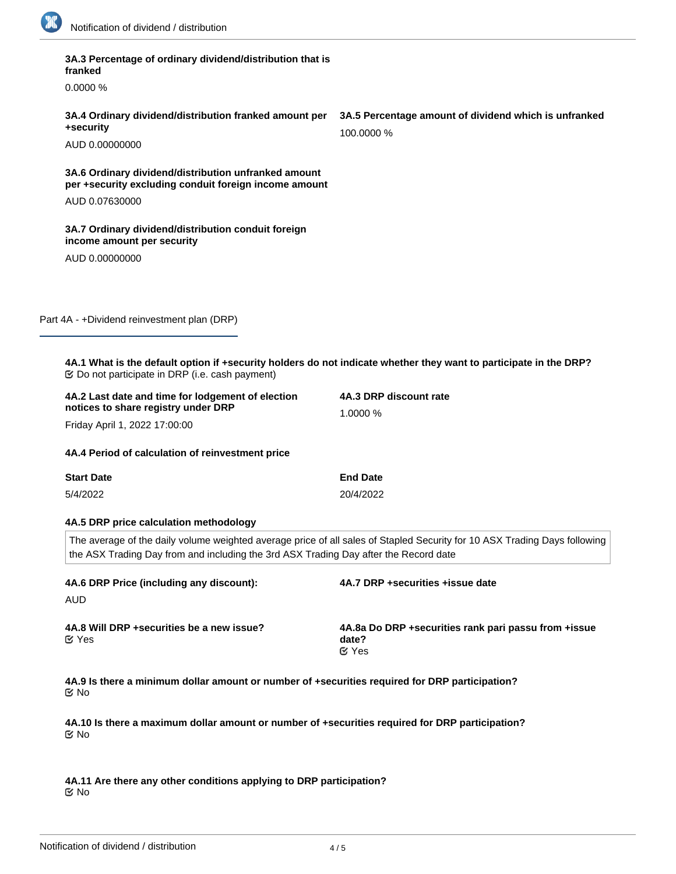

| 3A.3 Percentage of ordinary dividend/distribution that is<br>franked                                                |                                                                                                                           |
|---------------------------------------------------------------------------------------------------------------------|---------------------------------------------------------------------------------------------------------------------------|
| 0.0000%                                                                                                             |                                                                                                                           |
| 3A.4 Ordinary dividend/distribution franked amount per<br>+security                                                 | 3A.5 Percentage amount of dividend which is unfranked<br>100.0000 %                                                       |
| AUD 0.00000000                                                                                                      |                                                                                                                           |
| 3A.6 Ordinary dividend/distribution unfranked amount<br>per +security excluding conduit foreign income amount       |                                                                                                                           |
| AUD 0.07630000                                                                                                      |                                                                                                                           |
| 3A.7 Ordinary dividend/distribution conduit foreign<br>income amount per security                                   |                                                                                                                           |
| AUD 0.00000000                                                                                                      |                                                                                                                           |
|                                                                                                                     |                                                                                                                           |
| Part 4A - +Dividend reinvestment plan (DRP)                                                                         |                                                                                                                           |
| 4A.1 What is the default option if +security holders do not indicate whether they want to participate in the DRP?   |                                                                                                                           |
|                                                                                                                     |                                                                                                                           |
| 4A.2 Last date and time for lodgement of election                                                                   | 4A.3 DRP discount rate                                                                                                    |
| notices to share registry under DRP                                                                                 | 1.0000 %                                                                                                                  |
| Friday April 1, 2022 17:00:00                                                                                       |                                                                                                                           |
| 4A.4 Period of calculation of reinvestment price                                                                    |                                                                                                                           |
| <b>Start Date</b>                                                                                                   | <b>End Date</b>                                                                                                           |
| 5/4/2022                                                                                                            | 20/4/2022                                                                                                                 |
| 4A.5 DRP price calculation methodology                                                                              |                                                                                                                           |
| the ASX Trading Day from and including the 3rd ASX Trading Day after the Record date                                | The average of the daily volume weighted average price of all sales of Stapled Security for 10 ASX Trading Days following |
| 4A.6 DRP Price (including any discount):<br>AUD                                                                     | 4A.7 DRP +securities +issue date                                                                                          |
| 4A.8 Will DRP + securities be a new issue?<br>$\mathfrak{C}$ Yes                                                    | 4A.8a Do DRP +securities rank pari passu from +issue<br>date?<br>$C$ Yes                                                  |
| 4A.9 Is there a minimum dollar amount or number of +securities required for DRP participation?<br>$\mathfrak{C}$ No |                                                                                                                           |

 $C$  No